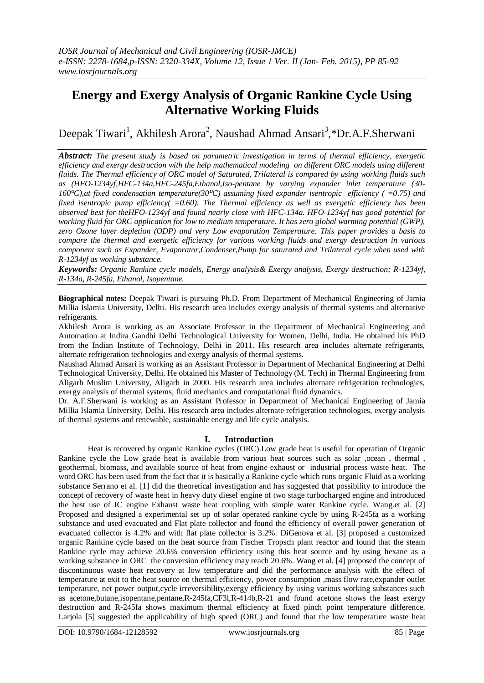# **Energy and Exergy Analysis of Organic Rankine Cycle Using Alternative Working Fluids**

Deepak Tiwari<sup>1</sup>, Akhilesh Arora<sup>2</sup>, Naushad Ahmad Ansari<sup>3</sup>,\*Dr.A.F.Sherwani

*Abstract: The present study is based on parametric investigation in terms of thermal efficiency, exergetic efficiency and exergy destruction with the help mathematical modeling on different ORC models using different fluids. The Thermal efficiency of ORC model of Saturated, Trilateral is compared by using working fluids such as (HFO-1234yf,HFC-134a,HFC-245fa,Ethanol,Iso-pentane by varying expander inlet temperature (30- 160⁰C),at fixed condensation temperature(30⁰C) assuming fixed expander isentropic efficiency ( =0.75) and fixed isentropic pump efficiency( =0.60). The Thermal efficiency as well as exergetic efficiency has been observed best for theHFO-1234yf and found nearly close with HFC-134a. HFO-1234yf has good potential for working fluid for ORC application for low to medium temperature. It has zero global warming potential (GWP), zero Ozone layer depletion (ODP) and very Low evaporation Temperature. This paper provides a basis to compare the thermal and exergetic efficiency for various working fluids and exergy destruction in various component such as Expander, Evaporator,Condenser,Pump for saturated and Trilateral cycle when used with R-1234yf as working substance.*

*Keywords: Organic Rankine cycle models, Energy analysis& Exergy analysis, Exergy destruction; R-1234yf, R-134a, R-245fa, Ethanol, Isopentane.*

**Biographical notes:** Deepak Tiwari is pursuing Ph.D. From Department of Mechanical Engineering of Jamia Millia Islamia University, Delhi. His research area includes exergy analysis of thermal systems and alternative refrigerants.

Akhilesh Arora is working as an Associate Professor in the Department of Mechanical Engineering and Automation at Indira Gandhi Delhi Technological University for Women, Delhi, India. He obtained his PhD from the Indian Institute of Technology, Delhi in 2011. His research area includes alternate refrigerants, alternate refrigeration technologies and exergy analysis of thermal systems.

Naushad Ahmad Ansari is working as an Assistant Professor in Department of Mechanical Engineering at Delhi Technological University, Delhi. He obtained his Master of Technology (M. Tech) in Thermal Engineering from Aligarh Muslim University, Aligarh in 2000. His research area includes alternate refrigeration technologies, exergy analysis of thermal systems, fluid mechanics and computational fluid dynamics.

Dr. A.F.Sherwani is working as an Assistant Professor in Department of Mechanical Engineering of Jamia Millia Islamia University, Delhi. His research area includes alternate refrigeration technologies, exergy analysis of thermal systems and renewable, sustainable energy and life cycle analysis.

## **I. Introduction**

Heat is recovered by organic Rankine cycles (ORC).Low grade heat is useful for operation of Organic Rankine cycle the Low grade heat is available from various heat sources such as solar ,ocean, thermal. geothermal, biomass, and available source of heat from engine exhaust or industrial process waste heat. The word ORC has been used from the fact that it is basically a Rankine cycle which runs organic Fluid as a working substance Serrano et al. [1] did the theoretical investigation and has suggested that possibility to introduce the concept of recovery of waste heat in heavy duty diesel engine of two stage turbocharged engine and introduced the best use of IC engine Exhaust waste heat coupling with simple water Rankine cycle. Wang.et al. [2] Proposed and designed a experimental set up of solar operated rankine cycle by using R-245fa as a working substance and used evacuated and Flat plate collector and found the efficiency of overall power generation of evacuated collector is 4.2% and with flat plate collector is 3.2%. DiGenova et al. [3] proposed a customized organic Rankine cycle based on the heat source from Fischer Tropsch plant reactor and found that the steam Rankine cycle may achieve 20.6% conversion efficiency using this heat source and by using hexane as a working substance in ORC the conversion efficiency may reach 20.6%. Wang et al. [4] proposed the concept of discontinuous waste heat recovery at low temperature and did the performance analysis with the effect of temperature at exit to the heat source on thermal efficiency, power consumption ,mass flow rate,expander outlet temperature, net power output,cycle irreversibility,exergy efficiency by using various working substances such as acetone,butane,isopentane,pentane,R-245fa,CF3l,R-414b,R-21 and found acetone shows the least exergy destruction and R-245fa shows maximum thermal efficiency at fixed pinch point temperature difference. Larjola [5] suggested the applicability of high speed (ORC) and found that the low temperature waste heat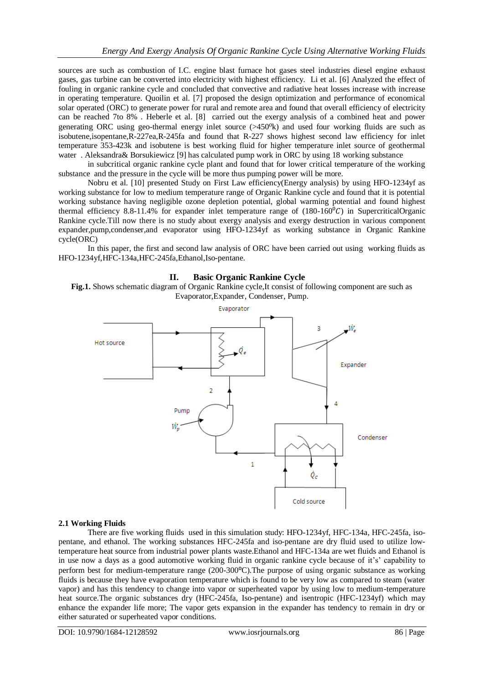sources are such as combustion of I.C. engine blast furnace hot gases steel industries diesel engine exhaust gases, gas turbine can be converted into electricity with highest efficiency. Li et al. [6] Analyzed the effect of fouling in organic rankine cycle and concluded that convective and radiative heat losses increase with increase in operating temperature. Quoilin et al. [7] proposed the design optimization and performance of economical solar operated (ORC) to generate power for rural and remote area and found that overall efficiency of electricity can be reached 7to 8% . Heberle et al. [8] carried out the exergy analysis of a combined heat and power generating ORC using geo-thermal energy inlet source (>450<sup>o</sup>k) and used four working fluids are such as isobutene,isopentane,R-227ea,R-245fa and found that R-227 shows highest second law efficiency for inlet temperature 353-423k and isobutene is best working fluid for higher temperature inlet source of geothermal water . Aleksandra& Borsukiewicz [9] has calculated pump work in ORC by using 18 working substance

in subcritical organic rankine cycle plant and found that for lower critical temperature of the working substance and the pressure in the cycle will be more thus pumping power will be more.

Nobru et al. [10] presented Study on First Law efficiency(Energy analysis) by using HFO-1234yf as working substance for low to medium temperature range of Organic Rankine cycle and found that it is potential working substance having negligible ozone depletion potential, global warming potential and found highest thermal efficiency 8.8-11.4% for expander inlet temperature range of  $(180-160^{\circ}C)$  in SupercriticalOrganic Rankine cycle.Till now there is no study about exergy analysis and exergy destruction in various component expander,pump,condenser,and evaporator using HFO-1234yf as working substance in Organic Rankine cycle(ORC)

In this paper, the first and second law analysis of ORC have been carried out using working fluids as HFO-1234yf,HFC-134a,HFC-245fa,Ethanol,Iso-pentane.

## **II. Basic Organic Rankine Cycle**

**Fig.1.** Shows schematic diagram of Organic Rankine cycle,It consist of following component are such as Evaporator,Expander, Condenser, Pump.



#### **2.1 Working Fluids**

There are five working fluids used in this simulation study: HFO-1234yf, HFC-134a, HFC-245fa, isopentane, and ethanol. The working substances HFC-245fa and iso-pentane are dry fluid used to utilize lowtemperature heat source from industrial power plants waste.Ethanol and HFC-134a are wet fluids and Ethanol is in use now a days as a good automotive working fluid in organic rankine cycle because of it's' capability to perform best for medium-temperature range (200-300°C). The purpose of using organic substance as working fluids is because they have evaporation temperature which is found to be very low as compared to steam (water vapor) and has this tendency to change into vapor or superheated vapor by using low to medium-temperature heat source.The organic substances dry (HFC-245fa, Iso-pentane) and isentropic (HFC-1234yf) which may enhance the expander life more; The vapor gets expansion in the expander has tendency to remain in dry or either saturated or superheated vapor conditions.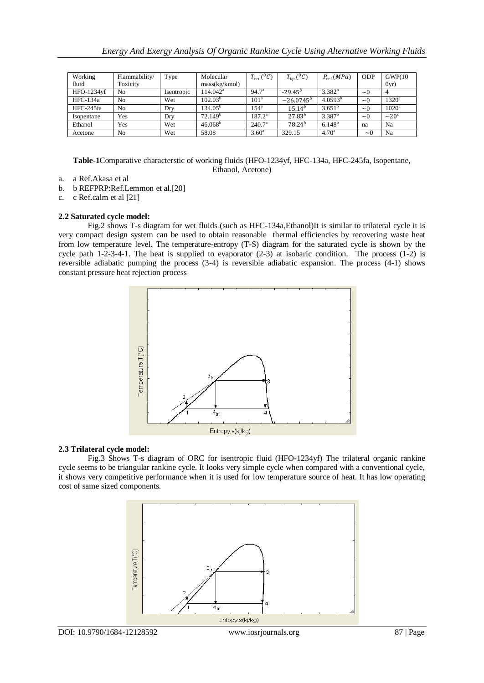| Working    | Flammability/ | Type       | Molecular        | $T_{cri}({}^0C)$ | $T_{bp}({}^0C)$ | $P_{cri} (MPa)$   | <b>ODP</b> | GWP(10)                |
|------------|---------------|------------|------------------|------------------|-----------------|-------------------|------------|------------------------|
| fluid      | Toxicity      |            | mass(kg/kmol)    |                  |                 |                   |            | 0yr)                   |
| HFO-1234yf | No            | Isentropic | $114.042^a$      | $94.7^{\circ}$   | $-29.45^{b}$    | $3.382^{b}$       | $\sim 0$   | 4                      |
| HFC-134a   | No.           | Wet        | $102.03^{b}$     | 101 <sup>a</sup> | $-26.0745^{b}$  | $4.0593^b$        | $\sim 0$   | $1320^{\circ}$         |
| HFC-245fa  | No.           | Dry        | $134.05^{\circ}$ | $154^{\circ}$    | $15.14^{b}$     | $3.651^{b}$       | $\sim 0$   | $1020^{\circ}$         |
| Isopentane | Yes           | Dry        | $72.149^{\circ}$ | $187.2^{\circ}$  | $27.83^{b}$     | $3.387^b$         | $\sim 0$   | $\sim$ 20 <sup>c</sup> |
| Ethanol    | Yes           | Wet        | $46.068^{\circ}$ | $240.7^{\circ}$  | $78.24^{b}$     | $6.148^{b}$       | na         | Na                     |
| Acetone    | No            | Wet        | 58.08            | $3.60^{\circ}$   | 329.15          | 4.70 <sup>a</sup> | $\sim$ 0   | Na                     |

**Table-1**Comparative characterstic of working fluids (HFO-1234yf, HFC-134a, HFC-245fa, Isopentane, Ethanol, Acetone)

- a. a Ref.Akasa et al
- b. b REFPRP:Ref.Lemmon et al.[20]
- c. c Ref.calm et al [21]

#### **2.2 Saturated cycle model:**

Fig.2 shows T-s diagram for wet fluids (such as HFC-134a,Ethanol)It is similar to trilateral cycle it is very compact design system can be used to obtain reasonable thermal efficiencies by recovering waste heat from low temperature level. The temperature-entropy (T-S) diagram for the saturated cycle is shown by the cycle path 1-2-3-4-1. The heat is supplied to evaporator (2-3) at isobaric condition. The process (1-2) is reversible adiabatic pumping the process (3-4) is reversible adiabatic expansion. The process (4-1) shows constant pressure heat rejection process



#### **2.3 Trilateral cycle model:**

Fig.3 Shows T-s diagram of ORC for isentropic fluid (HFO-1234yf) The trilateral organic rankine cycle seems to be triangular rankine cycle. It looks very simple cycle when compared with a conventional cycle, it shows very competitive performance when it is used for low temperature source of heat. It has low operating cost of same sized components.

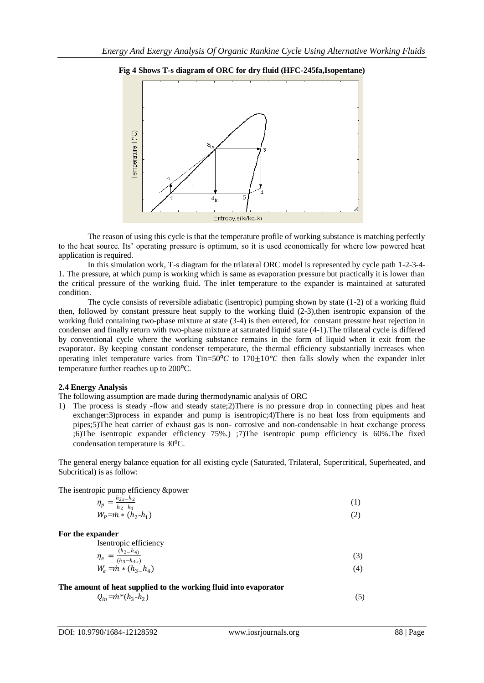

#### **Fig 4 Shows T-s diagram of ORC for dry fluid (HFC-245fa,Isopentane)**

The reason of using this cycle is that the temperature profile of working substance is matching perfectly to the heat source. Its' operating pressure is optimum, so it is used economically for where low powered heat application is required.

In this simulation work, T-s diagram for the trilateral ORC model is represented by cycle path 1-2-3-4- 1. The pressure, at which pump is working which is same as evaporation pressure but practically it is lower than the critical pressure of the working fluid. The inlet temperature to the expander is maintained at saturated condition.

The cycle consists of reversible adiabatic (isentropic) pumping shown by state (1-2) of a working fluid then, followed by constant pressure heat supply to the working fluid (2-3),then isentropic expansion of the working fluid containing two-phase mixture at state (3-4) is then entered, for constant pressure heat rejection in condenser and finally return with two-phase mixture at saturated liquid state (4-1).The trilateral cycle is differed by conventional cycle where the working substance remains in the form of liquid when it exit from the evaporator. By keeping constant condenser temperature, the thermal efficiency substantially increases when operating inlet temperature varies from Tin=50 $\degree$ *C* to 170 $\pm$ 10 $\degree$ *C* then falls slowly when the expander inlet temperature further reaches up to 200<sup>o</sup>C.

#### **2.4 Energy Analysis**

The following assumption are made during thermodynamic analysis of ORC

1) The process is steady -flow and steady state;2)There is no pressure drop in connecting pipes and heat exchanger:3)process in expander and pump is isentropic;4)There is no heat loss from equipments and pipes;5)The heat carrier of exhaust gas is non- corrosive and non-condensable in heat exchange process ;6)The isentropic expander efficiency 75%.) ;7)The isentropic pump efficiency is 60%.The fixed condensation temperature is 30<sup>o</sup>C.

The general energy balance equation for all existing cycle (Saturated, Trilateral, Supercritical, Superheated, and Subcritical) is as follow:

The isentropic pump efficiency &power

$$
\eta_p = \frac{h_{2s} - h_2}{h_2 - h_1}
$$
  
\n
$$
W_p = \dot{m} * (h_2 - h_1)
$$
\n(1)

**For the expander**

Isentropic efficiency

$$
\eta_e = \frac{(h_3 - h_4)}{(h_3 - h_4 s)} \nW_e = \dot{m} * (h_3 - h_4)
$$
\n(3)

**The amount of heat supplied to the working fluid into evaporator**

 $Q_{in} = \dot{m}^*(h_3 - h_2)$  $)$  (5)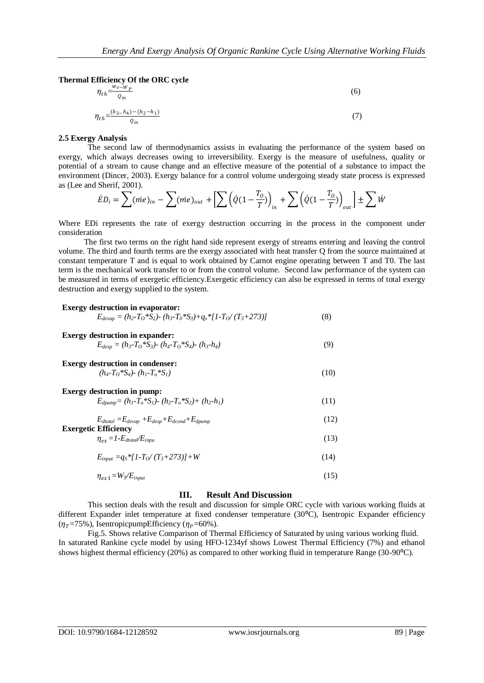**Thermal Efficiency Of the ORC cycle**

 $Q_{in}$ 

$$
\eta_{th} = \frac{w_e - w_p}{Q_{in}} \tag{6}
$$
\n
$$
\eta_{th} = \frac{(h_3 - h_4) - (h_2 - h_1)}{Q} \tag{7}
$$

#### **2.5 Exergy Analysis**

The second law of thermodynamics assists in evaluating the performance of the system based on exergy, which always decreases owing to irreversibility. Exergy is the measure of usefulness, quality or potential of a stream to cause change and an effective measure of the potential of a substance to impact the environment (Dincer, 2003). Exergy balance for a control volume undergoing steady state process is expressed as (Lee and Sherif, 2001).

$$
\dot{E}D_i = \sum (\dot{m}e)_{in} - \sum (\dot{m}e)_{out} + \left[ \sum \left( \dot{Q}(1 - \frac{T_0}{T}) \right)_{in} + \sum \left( \dot{Q}(1 - \frac{T_0}{T}) \right)_{out} \right] \pm \sum \dot{W}
$$

Where EDi represents the rate of exergy destruction occurring in the process in the component under consideration

The first two terms on the right hand side represent exergy of streams entering and leaving the control volume. The third and fourth terms are the exergy associated with heat transfer Q from the source maintained at constant temperature T and is equal to work obtained by Carnot engine operating between T and T0. The last term is the mechanical work transfer to or from the control volume. Second law performance of the system can be measured in terms of exergetic efficiency.Exergetic efficiency can also be expressed in terms of total exergy destruction and exergy supplied to the system.

## **Exergy destruction in evaporator:**  $E_{devav} = (h_2 - T_0 * \overline{S}_2) - (h_3 - T_0 * S_3) + q_s * [1 - T_0 / (T_3 + 273)]$  (8) **Exergy destruction in expander:**  $E_{dexp} = (h_3 - T_0 * S_3) - (h_4 - T_0 * S_4) - (h_3 - h_4)$  (9) **Exergy destruction in condenser:**  $(h_4 - T_0 * S_4) - (h_1 - T_0 * S_1)$  (10) **Exergy destruction in pump:**  $E_{d\text{pump}} = (h_1 - T_o * S_1) - (h_2 - T_o * S_2) + (h_2 - h_1)$  (11)  $E_{dtotal} = E_{devap} + E_{dexp} + E_{dcond} + E_{dpump}$  (12) **Exergetic Efficiency**  $\eta_{ex} = 1 - E_{\text{dtotal}} / E_{\text{input}}$  (13)

$$
E_{input} = q_s * [1 - T_O / (T_s + 273)] + W
$$
\n(14)

$$
\eta_{ex1} = W_T/E_{input} \tag{15}
$$

## **III. Result And Discussion**

This section deals with the result and discussion for simple ORC cycle with various working fluids at different Expander inlet temperature at fixed condenser temperature (30<sup>o</sup>C), Isentropic Expander efficiency  $(\eta<sub>T</sub>=75%)$ , IsentropicpumpEfficiency ( $\eta<sub>P</sub>=60%$ ).

Fig.5. Shows relative Comparison of Thermal Efficiency of Saturated by using various working fluid. In saturated Rankine cycle model by using HFO-1234yf shows Lowest Thermal Efficiency (7%) and ethanol shows highest thermal efficiency (20%) as compared to other working fluid in temperature Range (30-90 $^{\circ}$ C).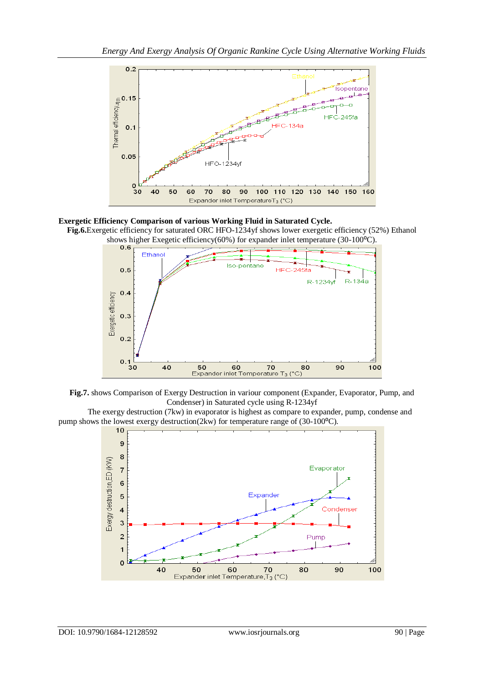

**Exergetic Efficiency Comparison of various Working Fluid in Saturated Cycle.**

**Fig.6.**Exergetic efficiency for saturated ORC HFO-1234yf shows lower exergetic efficiency (52%) Ethanol shows higher Exegetic efficiency(60%) for expander inlet temperature (30-100<sup>o</sup>C).<br> **0.6** 





The exergy destruction (7kw) in evaporator is highest as compare to expander, pump, condense and pump shows the lowest exergy destruction(2kw) for temperature range of (30-100 $^{\circ}$ C).

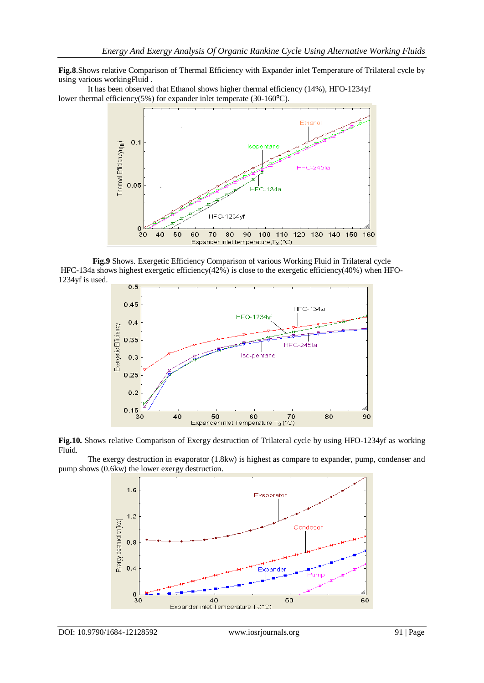**Fig.8**.Shows relative Comparison of Thermal Efficiency with Expander inlet Temperature of Trilateral cycle by using various workingFluid .

It has been observed that Ethanol shows higher thermal efficiency  $(14\%)$ , HFO-1234yf lower thermal efficiency(5%) for expander inlet temperate (30-160°C).



**Fig.9** Shows. Exergetic Efficiency Comparison of various Working Fluid in Trilateral cycle HFC-134a shows highest exergetic efficiency(42%) is close to the exergetic efficiency(40%) when HFO-1234yf is used.



**Fig.10.** Shows relative Comparison of Exergy destruction of Trilateral cycle by using HFO-1234yf as working Fluid.

The exergy destruction in evaporator (1.8kw) is highest as compare to expander, pump, condenser and pump shows (0.6kw) the lower exergy destruction.